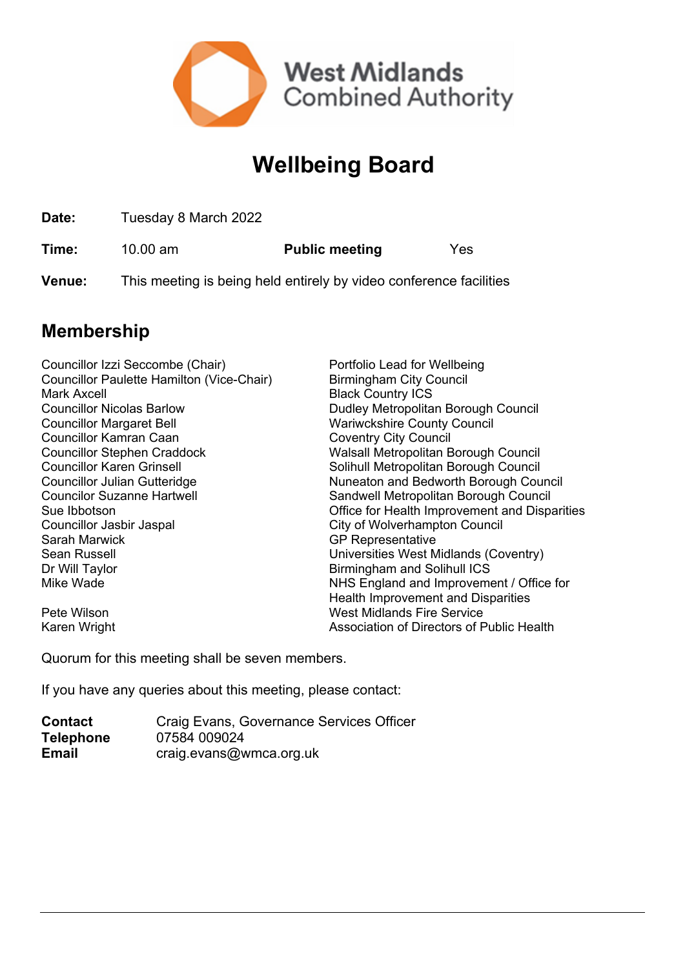

## **Wellbeing Board**

**Date:** Tuesday 8 March 2022

**Time:** 10.00 am **Public meeting** Yes

**Venue:** This meeting is being held entirely by video conference facilities

## **Membership**

| Councillor Izzi Seccombe (Chair)          | Portfolio Lead for Wellbeing                  |
|-------------------------------------------|-----------------------------------------------|
| Councillor Paulette Hamilton (Vice-Chair) | <b>Birmingham City Council</b>                |
| Mark Axcell                               | <b>Black Country ICS</b>                      |
| <b>Councillor Nicolas Barlow</b>          | Dudley Metropolitan Borough Council           |
| <b>Councillor Margaret Bell</b>           | <b>Wariwckshire County Council</b>            |
| Councillor Kamran Caan                    | <b>Coventry City Council</b>                  |
| <b>Councillor Stephen Craddock</b>        | Walsall Metropolitan Borough Council          |
| <b>Councillor Karen Grinsell</b>          | Solihull Metropolitan Borough Council         |
| Councillor Julian Gutteridge              | Nuneaton and Bedworth Borough Council         |
| <b>Councilor Suzanne Hartwell</b>         | Sandwell Metropolitan Borough Council         |
| Sue Ibbotson                              | Office for Health Improvement and Disparities |
| Councillor Jasbir Jaspal                  | City of Wolverhampton Council                 |
| Sarah Marwick                             | <b>GP Representative</b>                      |
| Sean Russell                              | Universities West Midlands (Coventry)         |
| Dr Will Taylor                            | Birmingham and Solihull ICS                   |
| Mike Wade                                 | NHS England and Improvement / Office for      |
|                                           | Health Improvement and Disparities            |
| Pete Wilson                               | <b>West Midlands Fire Service</b>             |
| Karen Wright                              | Association of Directors of Public Health     |

Quorum for this meeting shall be seven members.

If you have any queries about this meeting, please contact:

| <b>Contact</b>   | Craig Evans, Governance Services Officer |
|------------------|------------------------------------------|
| <b>Telephone</b> | 07584 009024                             |
| <b>Email</b>     | craig.evans@wmca.org.uk                  |